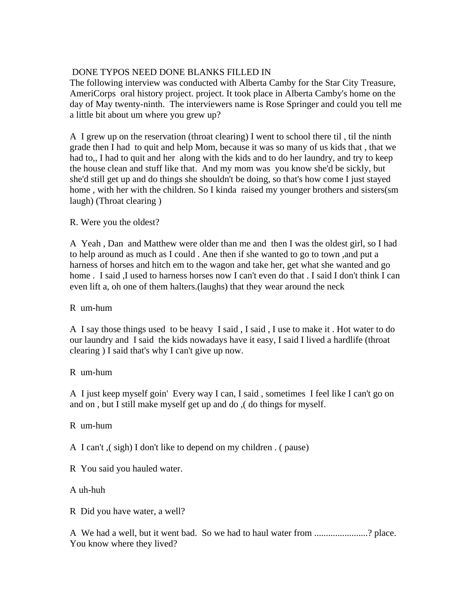# DONE TYPOS NEED DONE BLANKS FILLED IN

The following interview was conducted with Alberta Camby for the Star City Treasure, AmeriCorps oral history project. project. It took place in Alberta Camby's home on the day of May twenty-ninth. The interviewers name is Rose Springer and could you tell me a little bit about um where you grew up?

A I grew up on the reservation (throat clearing) I went to school there til , til the ninth grade then I had to quit and help Mom, because it was so many of us kids that , that we had to,, I had to quit and her along with the kids and to do her laundry, and try to keep the house clean and stuff like that. And my mom was you know she'd be sickly, but she'd still get up and do things she shouldn't be doing, so that's how come I just stayed home , with her with the children. So I kinda raised my younger brothers and sisters(sm laugh) (Throat clearing )

### R. Were you the oldest?

A Yeah , Dan and Matthew were older than me and then I was the oldest girl, so I had to help around as much as I could . Ane then if she wanted to go to town ,and put a harness of horses and hitch em to the wagon and take her, get what she wanted and go home . I said ,I used to harness horses now I can't even do that . I said I don't think I can even lift a, oh one of them halters.(laughs) that they wear around the neck

### R um-hum

A I say those things used to be heavy I said , I said , I use to make it . Hot water to do our laundry and I said the kids nowadays have it easy, I said I lived a hardlife (throat clearing ) I said that's why I can't give up now.

#### R um-hum

A I just keep myself goin' Every way I can, I said , sometimes I feel like I can't go on and on , but I still make myself get up and do ,( do things for myself.

R um-hum

A I can't ,( sigh) I don't like to depend on my children . ( pause)

R You said you hauled water.

A uh-huh

R Did you have water, a well?

A We had a well, but it went bad. So we had to haul water from .......................? place. You know where they lived?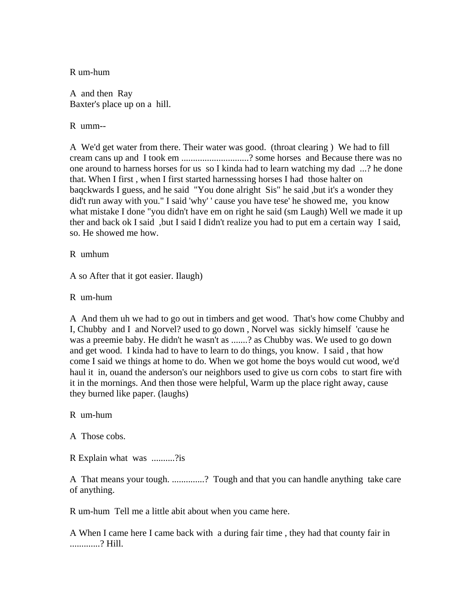R um-hum

A and then Ray Baxter's place up on a hill.

R umm--

A We'd get water from there. Their water was good. (throat clearing ) We had to fill cream cans up and I took em .............................? some horses and Because there was no one around to harness horses for us so I kinda had to learn watching my dad ...? he done that. When I first , when I first started harnesssing horses I had those halter on baqckwards I guess, and he said "You done alright Sis" he said ,but it's a wonder they did't run away with you." I said 'why' ' cause you have tese' he showed me, you know what mistake I done "you didn't have em on right he said (sm Laugh) Well we made it up ther and back ok I said ,but I said I didn't realize you had to put em a certain way I said, so. He showed me how.

R umhum

A so After that it got easier. Ilaugh)

R um-hum

A And them uh we had to go out in timbers and get wood. That's how come Chubby and I, Chubby and I and Norvel? used to go down , Norvel was sickly himself 'cause he was a preemie baby. He didn't he wasn't as .......? as Chubby was. We used to go down and get wood. I kinda had to have to learn to do things, you know. I said , that how come I said we things at home to do. When we got home the boys would cut wood, we'd haul it in, ouand the anderson's our neighbors used to give us corn cobs to start fire with it in the mornings. And then those were helpful, Warm up the place right away, cause they burned like paper. (laughs)

R um-hum

A Those cobs.

R Explain what was ..........?is

A That means your tough. ..............? Tough and that you can handle anything take care of anything.

R um-hum Tell me a little abit about when you came here.

A When I came here I came back with a during fair time , they had that county fair in .............? Hill.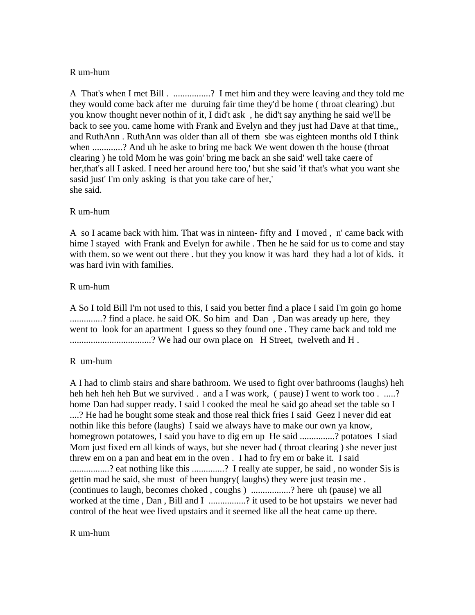#### R um-hum

A That's when I met Bill . ................? I met him and they were leaving and they told me they would come back after me duruing fair time they'd be home ( throat clearing) .but you know thought never nothin of it, I did't ask , he did't say anything he said we'll be back to see you. came home with Frank and Evelyn and they just had Dave at that time,, and RuthAnn . RuthAnn was older than all of them sbe was eighteen months old I think when .............? And uh he aske to bring me back We went dowen th the house (throat clearing ) he told Mom he was goin' bring me back an she said' well take caere of her,that's all I asked. I need her around here too,' but she said 'if that's what you want she sasid just' I'm only asking is that you take care of her,' she said.

### R um-hum

A so I acame back with him. That was in ninteen- fifty and I moved , n' came back with hime I stayed with Frank and Evelyn for awhile . Then he he said for us to come and stay with them. so we went out there . but they you know it was hard they had a lot of kids. it was hard ivin with families.

### R um-hum

A So I told Bill I'm not used to this, I said you better find a place I said I'm goin go home ..............? find a place. he said OK. So him and Dan, Dan was aready up here, they went to look for an apartment I guess so they found one . They came back and told me ................................? We had our own place on H Street, twelveth and H.

# R um-hum

A I had to climb stairs and share bathroom. We used to fight over bathrooms (laughs) heh heh heh heh heh But we survived . and a I was work, (pause) I went to work too . .....? home Dan had supper ready. I said I cooked the meal he said go ahead set the table so I ....? He had he bought some steak and those real thick fries I said Geez I never did eat nothin like this before (laughs) I said we always have to make our own ya know, homegrown potatowes, I said you have to dig em up He said ...............? potatoes I siad Mom just fixed em all kinds of ways, but she never had ( throat clearing ) she never just threw em on a pan and heat em in the oven . I had to fry em or bake it. I said .................? eat nothing like this ..............? I really ate supper, he said , no wonder Sis is gettin mad he said, she must of been hungry( laughs) they were just teasin me . (continues to laugh, becomes choked , coughs ) .................? here uh (pause) we all worked at the time, Dan, Bill and I ................? it used to be hot upstairs we never had control of the heat wee lived upstairs and it seemed like all the heat came up there.

#### R um-hum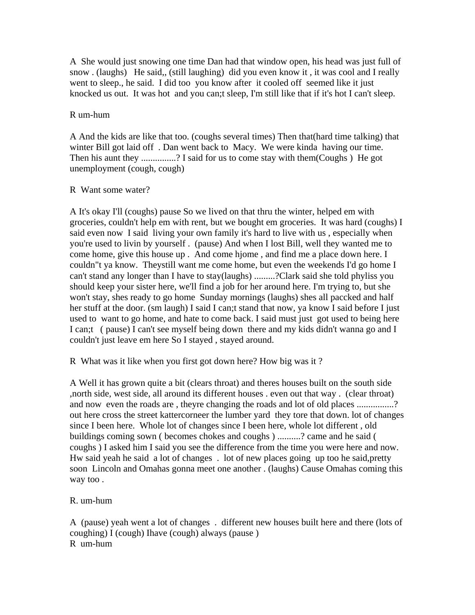A She would just snowing one time Dan had that window open, his head was just full of snow . (laughs) He said,, (still laughing) did you even know it , it was cool and I really went to sleep., he said. I did too you know after it cooled off seemed like it just knocked us out. It was hot and you can;t sleep, I'm still like that if it's hot I can't sleep.

### R um-hum

A And the kids are like that too. (coughs several times) Then that(hard time talking) that winter Bill got laid off . Dan went back to Macy. We were kinda having our time. Then his aunt they ...............? I said for us to come stay with them(Coughs) He got unemployment (cough, cough)

### R Want some water?

A It's okay I'll (coughs) pause So we lived on that thru the winter, helped em with groceries, couldn't help em with rent, but we bought em groceries. It was hard (coughs) I said even now I said living your own family it's hard to live with us , especially when you're used to livin by yourself . (pause) And when I lost Bill, well they wanted me to come home, give this house up . And come hjome , and find me a place down here. I couldn"t ya know. Theystill want me come home, but even the weekends I'd go home I can't stand any longer than I have to stay(laughs) .........?Clark said she told phyliss you should keep your sister here, we'll find a job for her around here. I'm trying to, but she won't stay, shes ready to go home Sunday mornings (laughs) shes all paccked and half her stuff at the door. (sm laugh) I said I can;t stand that now, ya know I said before I just used to want to go home, and hate to come back. I said must just got used to being here I can;t ( pause) I can't see myself being down there and my kids didn't wanna go and I couldn't just leave em here So I stayed , stayed around.

R What was it like when you first got down here? How big was it ?

A Well it has grown quite a bit (clears throat) and theres houses built on the south side ,north side, west side, all around its different houses . even out that way . (clear throat) and now even the roads are, theyre changing the roads and lot of old places ...............? out here cross the street kattercorneer the lumber yard they tore that down. lot of changes since I been here. Whole lot of changes since I been here, whole lot different , old buildings coming sown ( becomes chokes and coughs ) ..........? came and he said ( coughs ) I asked him I said you see the difference from the time you were here and now. Hw said yeah he said a lot of changes . lot of new places going up too he said,pretty soon Lincoln and Omahas gonna meet one another . (laughs) Cause Omahas coming this way too .

#### R. um-hum

A (pause) yeah went a lot of changes . different new houses built here and there (lots of coughing) I (cough) Ihave (cough) always (pause ) R um-hum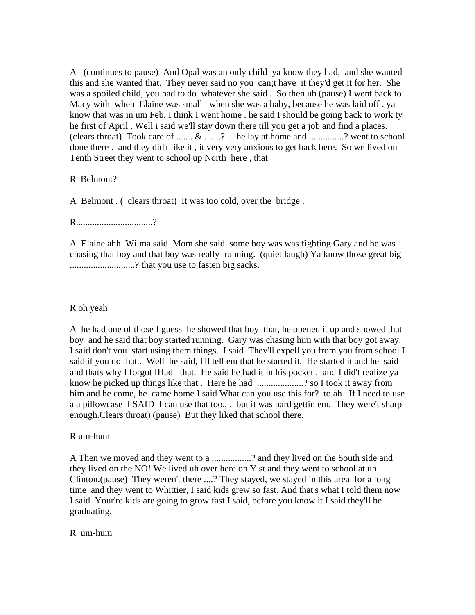A (continues to pause) And Opal was an only child ya know they had, and she wanted this and she wanted that. They never said no you can;t have it they'd get it for her. She was a spoiled child, you had to do whatever she said . So then uh (pause) I went back to Macy with when Elaine was small when she was a baby, because he was laid off . ya know that was in um Feb. I think I went home . he said I should be going back to work ty he first of April . Well i said we'll stay down there till you get a job and find a places. (clears throat) Took care of ....... & .......? . he lay at home and ...............? went to school done there . and they did't like it , it very very anxious to get back here. So we lived on Tenth Street they went to school up North here , that

R Belmont?

A Belmont . ( clears throat) It was too cold, over the bridge .

R.................................?

A Elaine ahh Wilma said Mom she said some boy was was fighting Gary and he was chasing that boy and that boy was really running. (quiet laugh) Ya know those great big ............................? that you use to fasten big sacks.

### R oh yeah

A he had one of those I guess he showed that boy that, he opened it up and showed that boy and he said that boy started running. Gary was chasing him with that boy got away. I said don't you start using them things. I said They'll expell you from you from school I said if you do that . Well he said, I'll tell em that he started it. He started it and he said and thats why I forgot IHad that. He said he had it in his pocket . and I did't realize ya know he picked up things like that . Here he had ....................? so I took it away from him and he come, he came home I said What can you use this for? to ah If I need to use a a pillowcase I SAID I can use that too., . but it was hard gettin em. They were't sharp enough.Clears throat) (pause) But they liked that school there.

R um-hum

A Then we moved and they went to a .................? and they lived on the South side and they lived on the NO! We lived uh over here on Y st and they went to school at uh Clinton.(pause) They weren't there ....? They stayed, we stayed in this area for a long time and they went to Whittier, I said kids grew so fast. And that's what I told them now I said Your're kids are going to grow fast I said, before you know it I said they'll be graduating.

#### R um-hum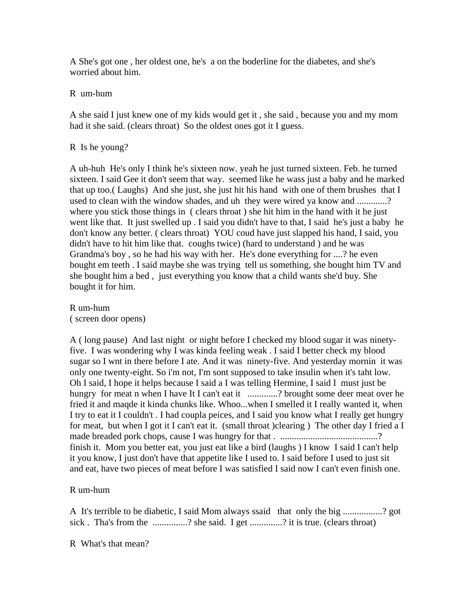A She's got one , her oldest one, he's a on the boderline for the diabetes, and she's worried about him.

R um-hum

A she said I just knew one of my kids would get it , she said , because you and my mom had it she said. (clears throat) So the oldest ones got it I guess.

# R Is he young?

A uh-huh He's only I think he's sixteen now. yeah he just turned sixteen. Feb. he turned sixteen. I said Gee it don't seem that way. seemed like he wass just a baby and he marked that up too.( Laughs) And she just, she just hit his hand with one of them brushes that I used to clean with the window shades, and uh they were wired ya know and ............? where you stick those things in (clears throat) she hit him in the hand with it he just went like that. It just swelled up . I said you didn't have to that, I said he's just a baby he don't know any better. ( clears throat) YOU coud have just slapped his hand, I said, you didn't have to hit him like that. coughs twice) (hard to understand ) and he was Grandma's boy , so he had his way with her. He's done everything for ....? he even bought em teeth . I said maybe she was trying tell us something, she bought him TV and she bought him a bed , just everything you know that a child wants she'd buy. She bought it for him.

R um-hum ( screen door opens)

A ( long pause) And last night or night before I checked my blood sugar it was ninetyfive. I was wondering why I was kinda feeling weak . I said I better check my blood sugar so I wnt in there before I ate. And it was ninety-five. And yesterday mornin it was only one twenty-eight. So i'm not, I'm sont supposed to take insulin when it's taht low. Oh I said, I hope it helps because I said a I was telling Hermine, I said I must just be hungry for meat n when I have It I can't eat it ..............? brought some deer meat over he fried it and maqde it kinda chunks like. Whoo...when I smelled it I really wanted it, when I try to eat it I couldn't . I had coupla peices, and I said you know what I really get hungry for meat, but when I got it I can't eat it. (small throat )clearing ) The other day I fried a I made breaded pork chops, cause I was hungry for that . ..........................................? finish it. Mom you better eat, you just eat like a bird (laughs ) I know I said I can't help it you know, I just don't have that appetite like I used to. I said before I used to just sit and eat, have two pieces of meat before I was satisfied I said now I can't even finish one.

R um-hum

A It's terrible to be diabetic, I said Mom always ssaid that only the big .................? got sick . Tha's from the ..............? she said. I get .............? it is true. (clears throat)

R What's that mean?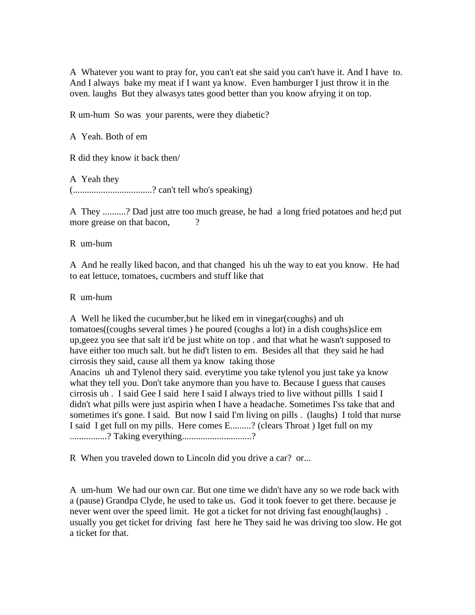A Whatever you want to pray for, you can't eat she said you can't have it. And I have to. And I always bake my meat if I want ya know. Even hamburger I just throw it in the oven. laughs But they alwasys tates good better than you know afrying it on top.

R um-hum So was your parents, were they diabetic?

A Yeah. Both of em

R did they know it back then/

A Yeah they

(..................................? can't tell who's speaking)

A They ..........? Dad just atre too much grease, he had a long fried potatoes and he;d put more grease on that bacon,  $\frac{?}{?}$ 

R um-hum

A And he really liked bacon, and that changed his uh the way to eat you know. He had to eat lettuce, tomatoes, cucmbers and stuff like that

R um-hum

A Well he liked the cucumber,but he liked em in vinegar(coughs) and uh tomatoes((coughs several times ) he poured (coughs a lot) in a dish coughs)slice em up,geez you see that salt it'd be just white on top . and that what he wasn't supposed to have either too much salt. but he did't listen to em. Besides all that they said he had cirrosis they said, cause all them ya know taking those Anacins uh and Tylenol thery said. everytime you take tylenol you just take ya know what they tell you. Don't take anymore than you have to. Because I guess that causes cirrosis uh . I said Gee I said here I said I always tried to live without pillls I said I didn't what pills were just aspirin when I have a headache. Sometimes I'ss take that and sometimes it's gone. I said. But now I said I'm living on pills . (laughs) I told that nurse I said I get full on my pills. Here comes E.........? (clears Throat ) Iget full on my ................? Taking everything..............................?

R When you traveled down to Lincoln did you drive a car? or...

A um-hum We had our own car. But one time we didn't have any so we rode back with a (pause) Grandpa Clyde, he used to take us. God it took foever to get there. because je never went over the speed limit. He got a ticket for not driving fast enough (laughs). usually you get ticket for driving fast here he They said he was driving too slow. He got a ticket for that.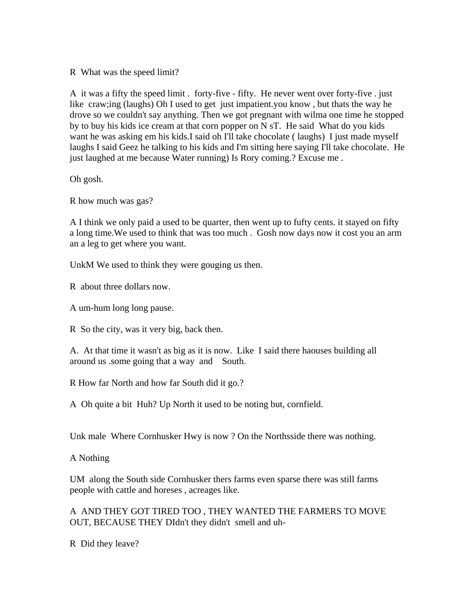R What was the speed limit?

A it was a fifty the speed limit . forty-five - fifty. He never went over forty-five . just like craw;ing (laughs) Oh I used to get just impatient.you know , but thats the way he drove so we couldn't say anything. Then we got pregnant with wilma one time he stopped by to buy his kids ice cream at that corn popper on N sT. He said What do you kids want he was asking em his kids.I said oh I'll take chocolate (laughs) I just made myself laughs I said Geez he talking to his kids and I'm sitting here saying I'll take chocolate. He just laughed at me because Water running) Is Rory coming.? Excuse me.

Oh gosh.

R how much was gas?

A I think we only paid a used to be quarter, then went up to fufty cents. it stayed on fifty a long time.We used to think that was too much . Gosh now days now it cost you an arm an a leg to get where you want.

UnkM We used to think they were gouging us then.

R about three dollars now.

A um-hum long long pause.

R So the city, was it very big, back then.

A. At that time it wasn't as big as it is now. Like I said there haouses building all around us .some going that a way and South.

R How far North and how far South did it go.?

A Oh quite a bit Huh? Up North it used to be noting but, cornfield.

Unk male Where Cornhusker Hwy is now ? On the Northsside there was nothing.

A Nothing

UM along the South side Cornhusker thers farms even sparse there was still farms people with cattle and horeses , acreages like.

A AND THEY GOT TIRED TOO , THEY WANTED THE FARMERS TO MOVE OUT, BECAUSE THEY DIdn't they didn't smell and uh-

R Did they leave?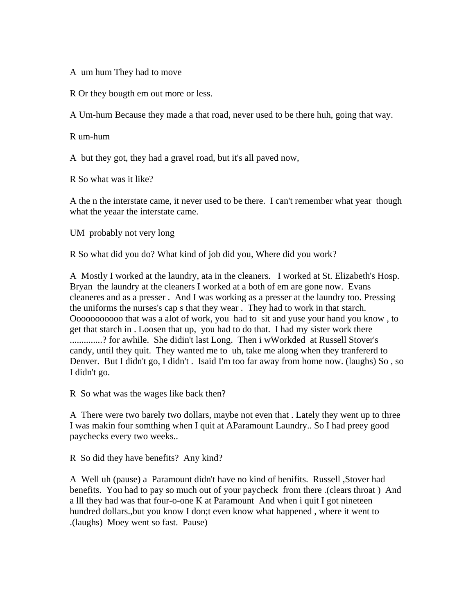A um hum They had to move

R Or they bougth em out more or less.

A Um-hum Because they made a that road, never used to be there huh, going that way.

R um-hum

A but they got, they had a gravel road, but it's all paved now,

R So what was it like?

A the n the interstate came, it never used to be there. I can't remember what year though what the yeaar the interstate came.

UM probably not very long

R So what did you do? What kind of job did you, Where did you work?

A Mostly I worked at the laundry, ata in the cleaners. I worked at St. Elizabeth's Hosp. Bryan the laundry at the cleaners I worked at a both of em are gone now. Evans cleaneres and as a presser . And I was working as a presser at the laundry too. Pressing the uniforms the nurses's cap s that they wear . They had to work in that starch. Ooooooooooo that was a alot of work, you had to sit and yuse your hand you know , to get that starch in . Loosen that up, you had to do that. I had my sister work there ..............? for awhile. She didin't last Long. Then i wWorkded at Russell Stover's candy, until they quit. They wanted me to uh, take me along when they tranfererd to Denver. But I didn't go, I didn't . Isaid I'm too far away from home now. (laughs) So , so I didn't go.

R So what was the wages like back then?

A There were two barely two dollars, maybe not even that . Lately they went up to three I was makin four somthing when I quit at AParamount Laundry.. So I had preey good paychecks every two weeks..

R So did they have benefits? Any kind?

A Well uh (pause) a Paramount didn't have no kind of benifits. Russell ,Stover had benefits. You had to pay so much out of your paycheck from there .(clears throat ) And a lll they had was that four-o-one K at Paramount And when i quit I got nineteen hundred dollars.,but you know I don;t even know what happened , where it went to .(laughs) Moey went so fast. Pause)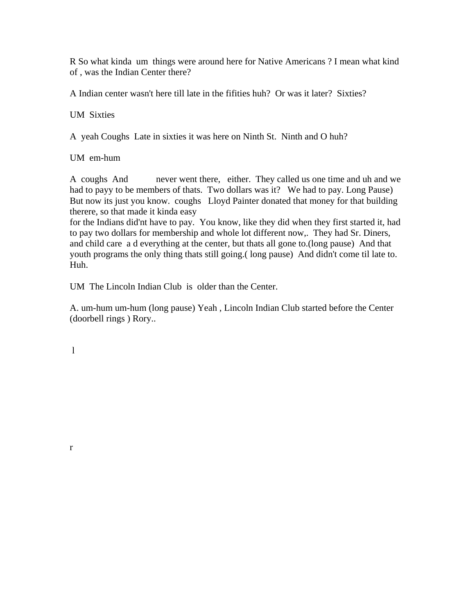R So what kinda um things were around here for Native Americans ? I mean what kind of , was the Indian Center there?

A Indian center wasn't here till late in the fifities huh? Or was it later? Sixties?

UM Sixties

A yeah Coughs Late in sixties it was here on Ninth St. Ninth and O huh?

UM em-hum

A coughs And never went there, either. They called us one time and uh and we had to payy to be members of thats. Two dollars was it? We had to pay. Long Pause) But now its just you know. coughs Lloyd Painter donated that money for that building therere, so that made it kinda easy

for the Indians did'nt have to pay. You know, like they did when they first started it, had to pay two dollars for membership and whole lot different now,. They had Sr. Diners, and child care a d everything at the center, but thats all gone to.(long pause) And that youth programs the only thing thats still going.( long pause) And didn't come til late to. Huh.

UM The Lincoln Indian Club is older than the Center.

A. um-hum um-hum (long pause) Yeah , Lincoln Indian Club started before the Center (doorbell rings ) Rory..

l

r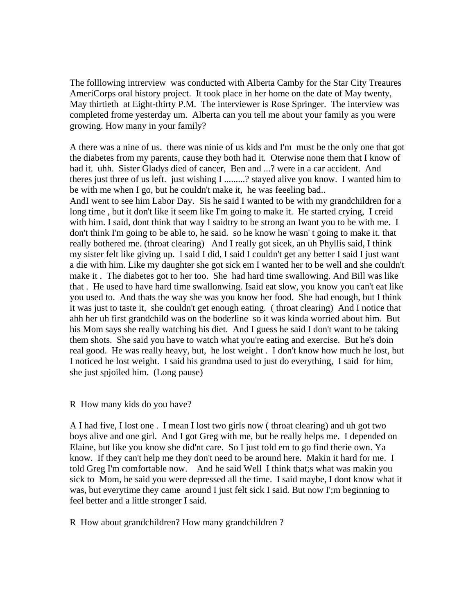The folllowing intrerview was conducted with Alberta Camby for the Star City Treaures AmeriCorps oral history project. It took place in her home on the date of May twenty, May thirtieth at Eight-thirty P.M. The interviewer is Rose Springer. The interview was completed frome yesterday um. Alberta can you tell me about your family as you were growing. How many in your family?

A there was a nine of us. there was ninie of us kids and I'm must be the only one that got the diabetes from my parents, cause they both had it. Oterwise none them that I know of had it. uhh. Sister Gladys died of cancer, Ben and ...? were in a car accident. And theres just three of us left. just wishing I .........? stayed alive you know. I wanted him to be with me when I go, but he couldn't make it, he was feeeling bad.. AndI went to see him Labor Day. Sis he said I wanted to be with my grandchildren for a long time , but it don't like it seem like I'm going to make it. He started crying, I creid with him. I said, dont think that way I saidtry to be strong an Iwant you to be with me. I don't think I'm going to be able to, he said. so he know he wasn' t going to make it. that really bothered me. (throat clearing) And I really got sicek, an uh Phyllis said, I think my sister felt like giving up. I said I did, I said I couldn't get any better I said I just want a die with him. Like my daughter she got sick em I wanted her to be well and she couldn't make it . The diabetes got to her too. She had hard time swallowing. And Bill was like that . He used to have hard time swallonwing. Isaid eat slow, you know you can't eat like you used to. And thats the way she was you know her food. She had enough, but I think it was just to taste it, she couldn't get enough eating. ( throat clearing) And I notice that ahh her uh first grandchild was on the boderline so it was kinda worried about him. But his Mom says she really watching his diet. And I guess he said I don't want to be taking them shots. She said you have to watch what you're eating and exercise. But he's doin real good. He was really heavy, but, he lost weight . I don't know how much he lost, but I noticed he lost weight. I said his grandma used to just do everything, I said for him, she just spjoiled him. (Long pause)

#### R How many kids do you have?

A I had five, I lost one . I mean I lost two girls now ( throat clearing) and uh got two boys alive and one girl. And I got Greg with me, but he really helps me. I depended on Elaine, but like you know she did'nt care. So I just told em to go find therie own. Ya know. If they can't help me they don't need to be around here. Makin it hard for me. I told Greg I'm comfortable now. And he said Well I think that;s what was makin you sick to Mom, he said you were depressed all the time. I said maybe, I dont know what it was, but everytime they came around I just felt sick I said. But now I';m beginning to feel better and a little stronger I said.

#### R How about grandchildren? How many grandchildren ?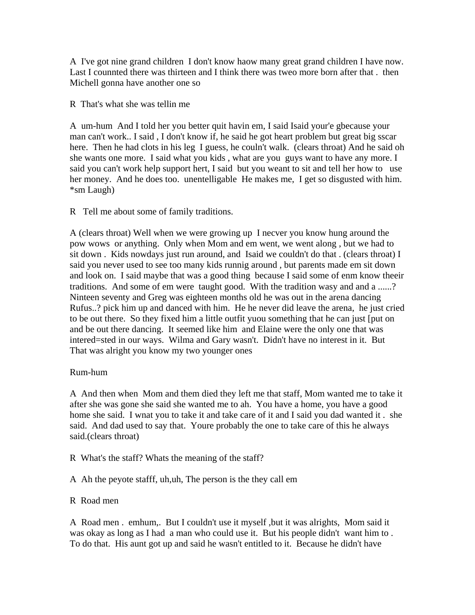A I've got nine grand children I don't know haow many great grand children I have now. Last I counnted there was thirteen and I think there was tweo more born after that . then Michell gonna have another one so

R That's what she was tellin me

A um-hum And I told her you better quit havin em, I said Isaid your'e gbecause your man can't work.. I said , I don't know if, he said he got heart problem but great big sscar here. Then he had clots in his leg I guess, he couln't walk. (clears throat) And he said oh she wants one more. I said what you kids , what are you guys want to have any more. I said you can't work help support hert, I said but you weant to sit and tell her how to use her money. And he does too. unentelligable He makes me, I get so disgusted with him. \*sm Laugh)

R Tell me about some of family traditions.

A (clears throat) Well when we were growing up I necver you know hung around the pow wows or anything. Only when Mom and em went, we went along , but we had to sit down . Kids nowdays just run around, and Isaid we couldn't do that . (clears throat) I said you never used to see too many kids runnig around , but parents made em sit down and look on. I said maybe that was a good thing because I said some of enm know theeir traditions. And some of em were taught good. With the tradition wasy and and a ......? Ninteen seventy and Greg was eighteen months old he was out in the arena dancing Rufus..? pick him up and danced with him. He he never did leave the arena, he just cried to be out there. So they fixed him a little outfit yuou something that he can just [put on and be out there dancing. It seemed like him and Elaine were the only one that was intered=sted in our ways. Wilma and Gary wasn't. Didn't have no interest in it. But That was alright you know my two younger ones

# Rum-hum

A And then when Mom and them died they left me that staff, Mom wanted me to take it after she was gone she said she wanted me to ah. You have a home, you have a good home she said. I wnat you to take it and take care of it and I said you dad wanted it . she said. And dad used to say that. Youre probably the one to take care of this he always said.(clears throat)

- R What's the staff? Whats the meaning of the staff?
- A Ah the peyote stafff, uh,uh, The person is the they call em

# R Road men

A Road men . emhum,. But I couldn't use it myself ,but it was alrights, Mom said it was okay as long as I had a man who could use it. But his people didn't want him to . To do that. His aunt got up and said he wasn't entitled to it. Because he didn't have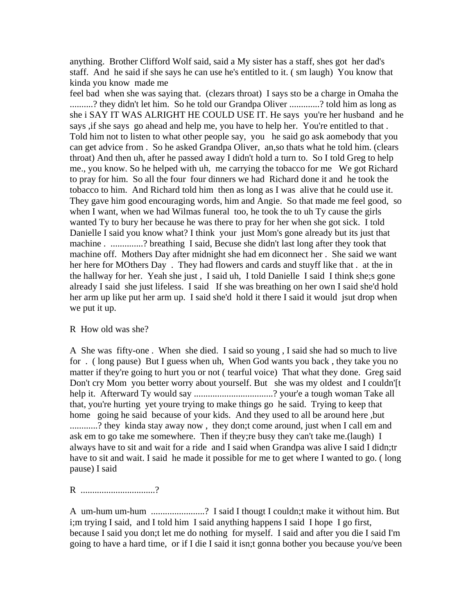anything. Brother Clifford Wolf said, said a My sister has a staff, shes got her dad's staff. And he said if she says he can use he's entitled to it. ( sm laugh) You know that kinda you know made me

feel bad when she was saying that. (clezars throat) I says sto be a charge in Omaha the ..........? they didn't let him. So he told our Grandpa Oliver .............? told him as long as she i SAY IT WAS ALRIGHT HE COULD USE IT. He says you're her husband and he says , if she says go ahead and help me, you have to help her. You're entitled to that. Told him not to listen to what other people say, you he said go ask aomebody that you can get advice from . So he asked Grandpa Oliver, an,so thats what he told him. (clears throat) And then uh, after he passed away I didn't hold a turn to. So I told Greg to help me., you know. So he helped with uh, me carrying the tobacco for me We got Richard to pray for him. So all the four four dinners we had Richard done it and he took the tobacco to him. And Richard told him then as long as I was alive that he could use it. They gave him good encouraging words, him and Angie. So that made me feel good, so when I want, when we had Wilmas funeral too, he took the to uh Ty cause the girls wanted Ty to bury her because he was there to pray for her when she got sick. I told Danielle I said you know what? I think your just Mom's gone already but its just that machine . .............? breathing I said, Becuse she didn't last long after they took that machine off. Mothers Day after midnight she had em diconnect her . She said we want her here for MOthers Day . They had flowers and cards and stuyff like that . at the in the hallway for her. Yeah she just , I said uh, I told Danielle I said I think she;s gone already I said she just lifeless. I said If she was breathing on her own I said she'd hold her arm up like put her arm up. I said she'd hold it there I said it would jsut drop when we put it up.

#### R How old was she?

A She was fifty-one . When she died. I said so young , I said she had so much to live for . ( long pause) But I guess when uh, When God wants you back , they take you no matter if they're going to hurt you or not ( tearful voice) That what they done. Greg said Don't cry Mom you better worry about yourself. But she was my oldest and I couldn'[t help it. Afterward Ty would say ................................? your'e a tough woman Take all that, you're hurting yet youre trying to make things go he said. Trying to keep that home going he said because of your kids. And they used to all be around here ,but ............? they kinda stay away now, they don;t come around, just when I call em and ask em to go take me somewhere. Then if they;re busy they can't take me.(laugh) I always have to sit and wait for a ride and I said when Grandpa was alive I said I didn;tr have to sit and wait. I said he made it possible for me to get where I wanted to go. ( long pause) I said

R ...................................?

A um-hum um-hum .......................? I said I thougt I couldn;t make it without him. But i;m trying I said, and I told him I said anything happens I said I hope I go first, because I said you don;t let me do nothing for myself. I said and after you die I said I'm going to have a hard time, or if I die I said it isn;t gonna bother you because you/ve been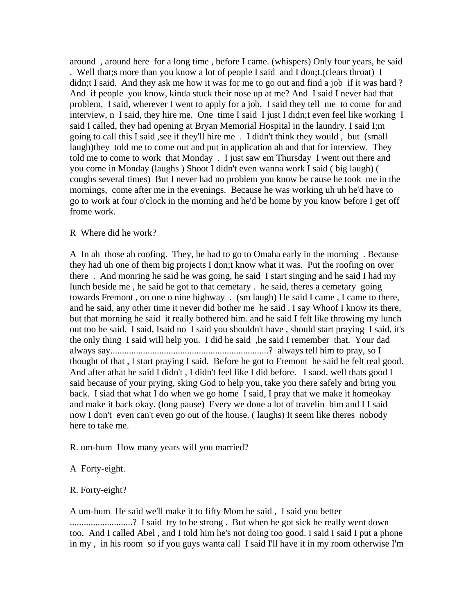around , around here for a long time , before I came. (whispers) Only four years, he said . Well that;s more than you know a lot of people I said and I don;t.(clears throat) I didn;t I said. And they ask me how it was for me to go out and find a job if it was hard? And if people you know, kinda stuck their nose up at me? And I said I never had that problem, I said, wherever I went to apply for a job, I said they tell me to come for and interview, n I said, they hire me. One time I said I just I didn;t even feel like working I said I called, they had opening at Bryan Memorial Hospital in the laundry. I said I;m going to call this I said ,see if they'll hire me . I didn't think they would , but (small laugh)they told me to come out and put in application ah and that for interview. They told me to come to work that Monday . I just saw em Thursday I went out there and you come in Monday (laughs ) Shoot I didn't even wanna work I said ( big laugh) ( coughs several times) But I never had no problem you know be cause he took me in the mornings, come after me in the evenings. Because he was working uh uh he'd have to go to work at four o'clock in the morning and he'd be home by you know before I get off frome work.

#### R Where did he work?

A In ah those ah roofing. They, he had to go to Omaha early in the morning . Because they had uh one of them big projects I don;t know what it was. Put the roofing on over there . And monring he said he was going, he said I start singing and he said I had my lunch beside me , he said he got to that cemetary . he said, theres a cemetary going towards Fremont , on one o nine highway . (sm laugh) He said I came , I came to there, and he said, any other time it never did bother me he said . I say Whoof I know its there, but that morning he said it really bothered him. and he said I felt like throwing my lunch out too he said. I said, Isaid no I said you shouldn't have , should start praying I said, it's the only thing I said will help you. I did he said ,he said I remember that. Your dad always say....................................................................? always tell him to pray, so I thought of that , I start praying I said. Before he got to Fremont he said he felt real good. And after athat he said I didn't , I didn't feel like I did before. I saod. well thats good I said because of your prying, sking God to help you, take you there safely and bring you back. I siad that what I do when we go home I said, I pray that we make it homeokay and make it back okay. (long pause) Every we done a lot of travelin him and I I said now I don't even can't even go out of the house. ( laughs) It seem like theres nobody here to take me.

R. um-hum How many years will you married?

A Forty-eight.

#### R. Forty-eight?

A um-hum He said we'll make it to fifty Mom he said , I said you better .........................? I said try to be strong. But when he got sick he really went down too. And I called Abel , and I told him he's not doing too good. I said I said I put a phone in my , in his room so if you guys wanta call I said I'll have it in my room otherwise I'm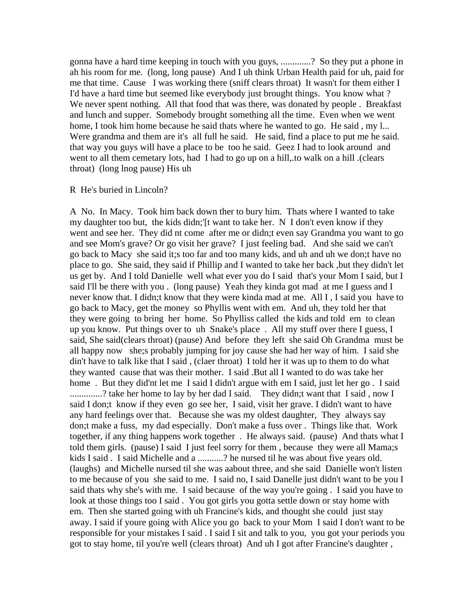gonna have a hard time keeping in touch with you guys, .............? So they put a phone in ah his room for me. (long, long pause) And I uh think Urban Health paid for uh, paid for me that time. Cause I was working there (sniff clears throat) It wasn't for them either I I'd have a hard time but seemed like everybody just brought things. You know what ? We never spent nothing. All that food that was there, was donated by people. Breakfast and lunch and supper. Somebody brought something all the time. Even when we went home, I took him home because he said thats where he wanted to go. He said , my l... Were grandma and them are it's all full he said. He said, find a place to put me he said. that way you guys will have a place to be too he said. Geez I had to look around and went to all them cemetary lots, had I had to go up on a hill,.to walk on a hill .(clears throat) (long lnog pause) His uh

#### R He's buried in Lincoln?

A No. In Macy. Took him back down ther to bury him. Thats where I wanted to take my daughter too but, the kids didn;'[t want to take her. N I don't even know if they went and see her. They did nt come after me or didn;t even say Grandma you want to go and see Mom's grave? Or go visit her grave? I just feeling bad. And she said we can't go back to Macy she said it;s too far and too many kids, and uh and uh we don;t have no place to go. She said, they said if Phillip and I wanted to take her back ,but they didn't let us get by. And I told Danielle well what ever you do I said that's your Mom I said, but I said I'll be there with you . (long pause) Yeah they kinda got mad at me I guess and I never know that. I didn;t know that they were kinda mad at me. All I , I said you have to go back to Macy, get the money so Phyllis went with em. And uh, they told her that they were going to bring her home. So Phylliss called the kids and told em to clean up you know. Put things over to uh Snake's place . All my stuff over there I guess, I said, She said(clears throat) (pause) And before they left she said Oh Grandma must be all happy now she;s probably jumping for joy cause she had her way of him. I said she din't have to talk like that I said , (claer throat) I told her it was up to them to do what they wanted cause that was their mother. I said .But all I wanted to do was take her home. But they did'nt let me I said I didn't argue with em I said, just let her go. I said ..............? take her home to lay by her dad I said. They didn;t want that I said , now I said I don;t know if they even go see her, I said, visit her grave. I didn't want to have any hard feelings over that. Because she was my oldest daughter, They always say don;t make a fuss, my dad especially. Don't make a fuss over . Things like that. Work together, if any thing happens work together . He always said. (pause) And thats what I told them girls. (pause) I said I just feel sorry for them , because they were all Mama;s kids I said . I said Michelle and a ...........? he nursed til he was about five years old. (laughs) and Michelle nursed til she was aabout three, and she said Danielle won't listen to me because of you she said to me. I said no, I said Danelle just didn't want to be you I said thats why she's with me. I said because of the way you're going . I said you have to look at those things too I said. You got girls you gotta settle down or stay home with em. Then she started going with uh Francine's kids, and thought she could just stay away. I said if youre going with Alice you go back to your Mom I said I don't want to be responsible for your mistakes I said . I said I sit and talk to you, you got your periods you got to stay home, til you're well (clears throat) And uh I got after Francine's daughter ,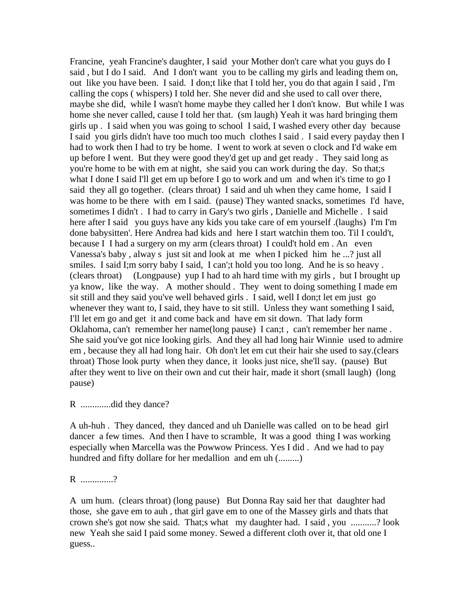Francine, yeah Francine's daughter, I said your Mother don't care what you guys do I said , but I do I said. And I don't want you to be calling my girls and leading them on, out like you have been. I said. I don;t like that I told her, you do that again I said , I'm calling the cops ( whispers) I told her. She never did and she used to call over there, maybe she did, while I wasn't home maybe they called her I don't know. But while I was home she never called, cause I told her that. (sm laugh) Yeah it was hard bringing them girls up . I said when you was going to school I said, I washed every other day because I said you girls didn't have too much too much clothes I said . I said every payday then I had to work then I had to try be home. I went to work at seven o clock and I'd wake em up before I went. But they were good they'd get up and get ready . They said long as you're home to be with em at night, she said you can work during the day. So that;s what I done I said I'll get em up before I go to work and um and when it's time to go I said they all go together. (clears throat) I said and uh when they came home, I said I was home to be there with em I said. (pause) They wanted snacks, sometimes I'd have, sometimes I didn't . I had to carry in Gary's two girls, Danielle and Michelle . I said here after I said you guys have any kids you take care of em yourself .(laughs) I'm I'm done babysitten'. Here Andrea had kids and here I start watchin them too. Til I could't, because I I had a surgery on my arm (clears throat) I could't hold em . An even Vanessa's baby , alway s just sit and look at me when I picked him he ...? just all smiles. I said I;m sorry baby I said, I can';t hold you too long. And he is so heavy. (clears throat) (Longpause) yup I had to ah hard time with my girls , but I brought up ya know, like the way. A mother should . They went to doing something I made em sit still and they said you've well behaved girls . I said, well I don;t let em just go whenever they want to, I said, they have to sit still. Unless they want something I said, I'll let em go and get it and come back and have em sit down. That lady form Oklahoma, can't remember her name(long pause) I can;t , can't remember her name . She said you've got nice looking girls. And they all had long hair Winnie used to admire em , because they all had long hair. Oh don't let em cut their hair she used to say.(clears throat) Those look purty when they dance, it looks just nice, she'll say. (pause) But after they went to live on their own and cut their hair, made it short (small laugh) (long pause)

R .............did they dance?

A uh-huh . They danced, they danced and uh Danielle was called on to be head girl dancer a few times. And then I have to scramble, It was a good thing I was working especially when Marcella was the Powwow Princess. Yes I did . And we had to pay hundred and fifty dollare for her medallion and em uh (.........)

R ..............?

A um hum. (clears throat) (long pause) But Donna Ray said her that daughter had those, she gave em to auh , that girl gave em to one of the Massey girls and thats that crown she's got now she said. That;s what my daughter had. I said , you ...........? look new Yeah she said I paid some money. Sewed a different cloth over it, that old one I guess..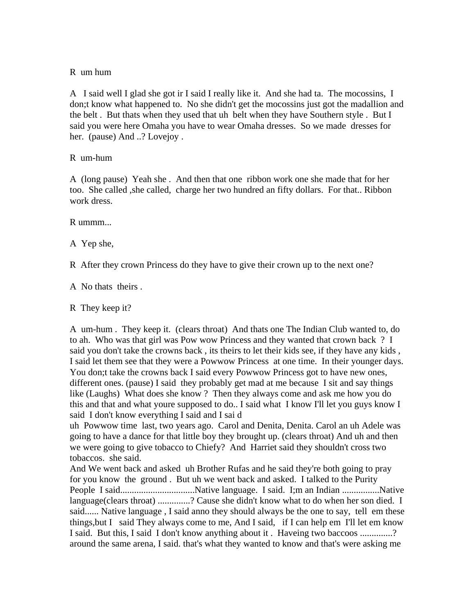#### R um hum

A I said well I glad she got ir I said I really like it. And she had ta. The mocossins, I don;t know what happened to. No she didn't get the mocossins just got the madallion and the belt . But thats when they used that uh belt when they have Southern style . But I said you were here Omaha you have to wear Omaha dresses. So we made dresses for her. (pause) And ..? Lovejoy .

### R um-hum

A (long pause) Yeah she . And then that one ribbon work one she made that for her too. She called ,she called, charge her two hundred an fifty dollars. For that.. Ribbon work dress.

R ummm...

A Yep she,

R After they crown Princess do they have to give their crown up to the next one?

A No thats theirs .

R They keep it?

A um-hum . They keep it. (clears throat) And thats one The Indian Club wanted to, do to ah. Who was that girl was Pow wow Princess and they wanted that crown back ? I said you don't take the crowns back , its theirs to let their kids see, if they have any kids , I said let them see that they were a Powwow Princess at one time. In their younger days. You don;t take the crowns back I said every Powwow Princess got to have new ones, different ones. (pause) I said they probably get mad at me because I sit and say things like (Laughs) What does she know ? Then they always come and ask me how you do this and that and what youre supposed to do.. I said what I know I'll let you guys know I said I don't know everything I said and I sai d

uh Powwow time last, two years ago. Carol and Denita, Denita. Carol an uh Adele was going to have a dance for that little boy they brought up. (clears throat) And uh and then we were going to give tobacco to Chiefy? And Harriet said they shouldn't cross two tobaccos. she said.

And We went back and asked uh Brother Rufas and he said they're both going to pray for you know the ground . But uh we went back and asked. I talked to the Purity People I said................................Native language. I said. I;m an Indian ................Native language(clears throat) ..............? Cause she didn't know what to do when her son died. I said...... Native language , I said anno they should always be the one to say, tell em these things,but I said They always come to me, And I said, if I can help em I'll let em know I said. But this, I said I don't know anything about it . Haveing two baccoos ..............? around the same arena, I said. that's what they wanted to know and that's were asking me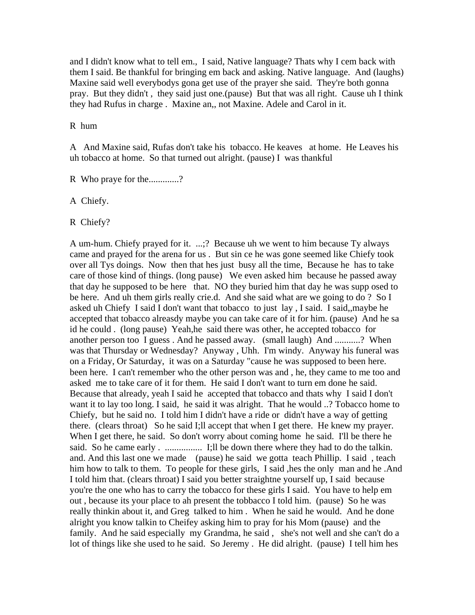and I didn't know what to tell em., I said, Native language? Thats why I cem back with them I said. Be thankful for bringing em back and asking. Native language. And (laughs) Maxine said well everybodys gona get use of the prayer she said. They're both gonna pray. But they didn't , they said just one.(pause) But that was all right. Cause uh I think they had Rufus in charge . Maxine an,, not Maxine. Adele and Carol in it.

R hum

A And Maxine said, Rufas don't take his tobacco. He keaves at home. He Leaves his uh tobacco at home. So that turned out alright. (pause) I was thankful

R Who praye for the.............?

A Chiefy.

R Chiefy?

A um-hum. Chiefy prayed for it. ...;? Because uh we went to him because Ty always came and prayed for the arena for us . But sin ce he was gone seemed like Chiefy took over all Tys doings. Now then that hes just busy all the time, Because he has to take care of those kind of things. (long pause) We even asked him because he passed away that day he supposed to be here that. NO they buried him that day he was supp osed to be here. And uh them girls really crie.d. And she said what are we going to do ? So I asked uh Chiefy I said I don't want that tobacco to just lay , I said. I said,,maybe he accepted that tobacco alreasdy maybe you can take care of it for him. (pause) And he sa id he could . (long pause) Yeah,he said there was other, he accepted tobacco for another person too I guess . And he passed away. (small laugh) And ...........? When was that Thursday or Wednesday? Anyway , Uhh. I'm windy. Anyway his funeral was on a Friday, Or Saturday, it was on a Saturday "cause he was supposed to been here. been here. I can't remember who the other person was and , he, they came to me too and asked me to take care of it for them. He said I don't want to turn em done he said. Because that already, yeah I said he accepted that tobacco and thats why I said I don't want it to lay too long. I said, he said it was alright. That he would ..? Tobacco home to Chiefy, but he said no. I told him I didn't have a ride or didn't have a way of getting there. (clears throat) So he said I;ll accept that when I get there. He knew my prayer. When I get there, he said. So don't worry about coming home he said. I'll be there he said. So he came early . ................ I;ll be down there where they had to do the talkin. and. And this last one we made (pause) he said we gotta teach Phillip. I said , teach him how to talk to them. To people for these girls, I said , hes the only man and he .And I told him that. (clears throat) I said you better straightne yourself up, I said because you're the one who has to carry the tobacco for these girls I said. You have to help em out , because its your place to ah present the tobbacco I told him. (pause) So he was really thinkin about it, and Greg talked to him . When he said he would. And he done alright you know talkin to Cheifey asking him to pray for his Mom (pause) and the family. And he said especially my Grandma, he said , she's not well and she can't do a lot of things like she used to he said. So Jeremy . He did alright. (pause) I tell him hes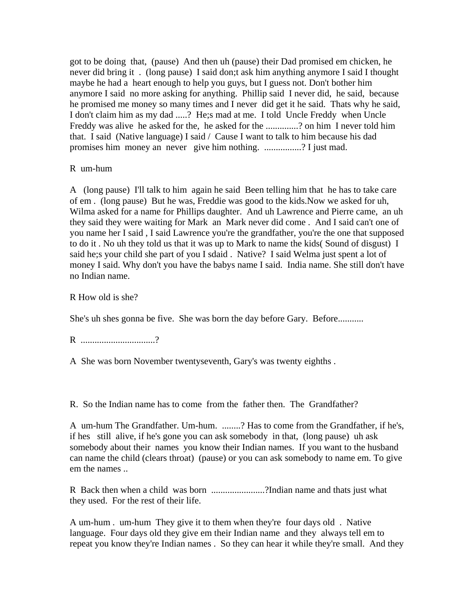got to be doing that, (pause) And then uh (pause) their Dad promised em chicken, he never did bring it . (long pause) I said don;t ask him anything anymore I said I thought maybe he had a heart enough to help you guys, but I guess not. Don't bother him anymore I said no more asking for anything. Phillip said I never did, he said, because he promised me money so many times and I never did get it he said. Thats why he said, I don't claim him as my dad .....? He;s mad at me. I told Uncle Freddy when Uncle Freddy was alive he asked for the, he asked for the ..............? on him I never told him that. I said (Native language) I said / Cause I want to talk to him because his dad promises him money an never give him nothing. ................? I just mad.

R um-hum

A (long pause) I'll talk to him again he said Been telling him that he has to take care of em . (long pause) But he was, Freddie was good to the kids.Now we asked for uh, Wilma asked for a name for Phillips daughter. And uh Lawrence and Pierre came, an uh they said they were waiting for Mark an Mark never did come . And I said can't one of you name her I said , I said Lawrence you're the grandfather, you're the one that supposed to do it . No uh they told us that it was up to Mark to name the kids( Sound of disgust) I said he;s your child she part of you I sdaid . Native? I said Welma just spent a lot of money I said. Why don't you have the babys name I said. India name. She still don't have no Indian name.

R How old is she?

She's uh shes gonna be five. She was born the day before Gary. Before...........

R ...................................?

A She was born November twentyseventh, Gary's was twenty eighths .

R. So the Indian name has to come from the father then. The Grandfather?

A um-hum The Grandfather. Um-hum. ........? Has to come from the Grandfather, if he's, if hes still alive, if he's gone you can ask somebody in that, (long pause) uh ask somebody about their names you know their Indian names. If you want to the husband can name the child (clears throat) (pause) or you can ask somebody to name em. To give em the names ..

R Back then when a child was born .......................?Indian name and thats just what they used. For the rest of their life.

A um-hum . um-hum They give it to them when they're four days old . Native language. Four days old they give em their Indian name and they always tell em to repeat you know they're Indian names . So they can hear it while they're small. And they